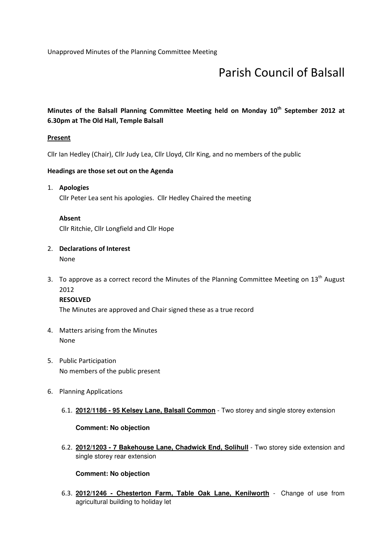Unapproved Minutes of the Planning Committee Meeting

# Parish Council of Balsall

### Minutes of the Balsall Planning Committee Meeting held on Monday 10<sup>th</sup> September 2012 at 6.30pm at The Old Hall, Temple Balsall

### **Present**

Cllr Ian Hedley (Chair), Cllr Judy Lea, Cllr Lloyd, Cllr King, and no members of the public

### Headings are those set out on the Agenda

1. Apologies Cllr Peter Lea sent his apologies. Cllr Hedley Chaired the meeting

### Absent Cllr Ritchie, Cllr Longfield and Cllr Hope

## 2. Declarations of Interest

None

3. To approve as a correct record the Minutes of the Planning Committee Meeting on 13<sup>th</sup> August 2012

### RESOLVED

The Minutes are approved and Chair signed these as a true record

- 4. Matters arising from the Minutes None
- 5. Public Participation No members of the public present
- 6. Planning Applications
	- 6.1. **2012/1186 95 Kelsey Lane, Balsall Common** Two storey and single storey extension

### **Comment: No objection**

6.2. **2012/1203 - 7 Bakehouse Lane, Chadwick End, Solihull** - Two storey side extension and single storey rear extension

### **Comment: No objection**

6.3. **2012/1246 - Chesterton Farm, Table Oak Lane, Kenilworth** - Change of use from agricultural building to holiday let